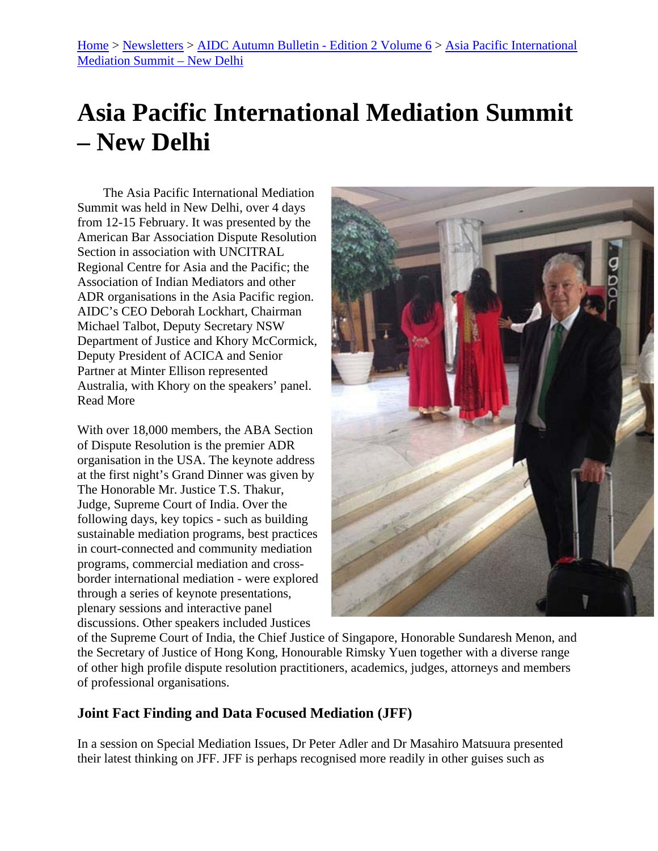## **Asia Pacific International Mediation Summit – New Delhi**

The Asia Pacific International Mediation Summit was held in New Delhi, over 4 days from 12-15 February. It was presented by the American Bar Association Dispute Resolution Section in association with UNCITRAL Regional Centre for Asia and the Pacific; the Association of Indian Mediators and other ADR organisations in the Asia Pacific region. AIDC's CEO Deborah Lockhart, Chairman Michael Talbot, Deputy Secretary NSW Department of Justice and Khory McCormick, Deputy President of ACICA and Senior Partner at Minter Ellison represented Australia, with Khory on the speakers' panel. Read More

With over 18,000 members, the ABA Section of Dispute Resolution is the premier ADR organisation in the USA. The keynote address at the first night's Grand Dinner was given by The Honorable Mr. Justice T.S. Thakur, Judge, Supreme Court of India. Over the following days, key topics - such as building sustainable mediation programs, best practices in court-connected and community mediation programs, commercial mediation and crossborder international mediation - were explored through a series of keynote presentations, plenary sessions and interactive panel discussions. Other speakers included Justices



of the Supreme Court of India, the Chief Justice of Singapore, Honorable Sundaresh Menon, and the Secretary of Justice of Hong Kong, Honourable Rimsky Yuen together with a diverse range of other high profile dispute resolution practitioners, academics, judges, attorneys and members of professional organisations.

## **Joint Fact Finding and Data Focused Mediation (JFF)**

In a session on Special Mediation Issues, Dr Peter Adler and Dr Masahiro Matsuura presented their latest thinking on JFF. JFF is perhaps recognised more readily in other guises such as